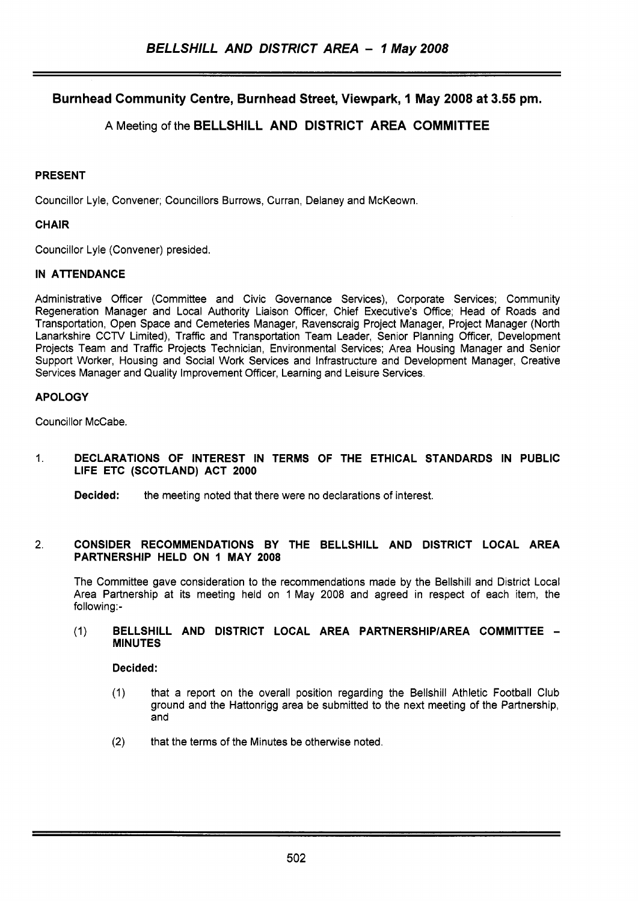# **Burnhead Community Centre, Burnhead Street, Viewpark, 1 May 2008 at 3.55 pm.**

# **A** Meeting of the **BELLSHILL AND DISTRICT AREA COMMITTEE**

## **PRESENT**

Councillor Lyle, Convener; Councillors Burrows, Curran, Delaney and McKeown.

# **CHAIR**

Councillor Lyle (Convener) presided.

# **IN ATTENDANCE**

Administrative Officer (Committee and Civic Governance Services), Corporate Services; Community Regeneration Manager and Local Authority Liaison Officer, Chief Executive's Office; Head of Roads and Transportation, Open Space and Cemeteries Manager, Ravenscraig Project Manager, Project Manager (North Lanarkshire CCTV Limited), Traffic and Transportation Team Leader, Senior Planning Officer, Development Projects Team and Traffic Projects Technician, Environmental Services; Area Housing Manager and Senior Support Worker, Housing and Social Work Services and Infrastructure and Development Manager, Creative Services Manager and Quality Improvement Officer, Learning and Leisure Services.

# **APOLOGY**

Councillor McCabe.

### 1. **DECLARATIONS OF INTEREST IN TERMS OF THE ETHICAL STANDARDS IN PUBLIC LIFE ETC (SCOTLAND) ACT 2000**

**Decided:** the meeting noted that there were no declarations of interest.

### **2. CONSIDER RECOMMENDATIONS BY THE BELLSHILL AND DISTRICT LOCAL AREA PARTNERSHIP HELD ON 1 MAY 2008**

The Committee gave consideration to the recommendations made by the Bellshill and District Local Area Partnership at its meeting held on 1 May 2008 and agreed in respect of each item, the following:-

### (1) **BELLSHILL AND DISTRICT LOCAL AREA PARTNERSHlPlAREA COMMITTEE** - **MINUTES**

# **Decided:**

- (1) that a report on the overall position regarding the Bellshill Athletic Football Club ground and the Hattonrigg area be submitted to the next meeting of the Partnership, and
- **(2)** that the terms of the Minutes be otherwise noted.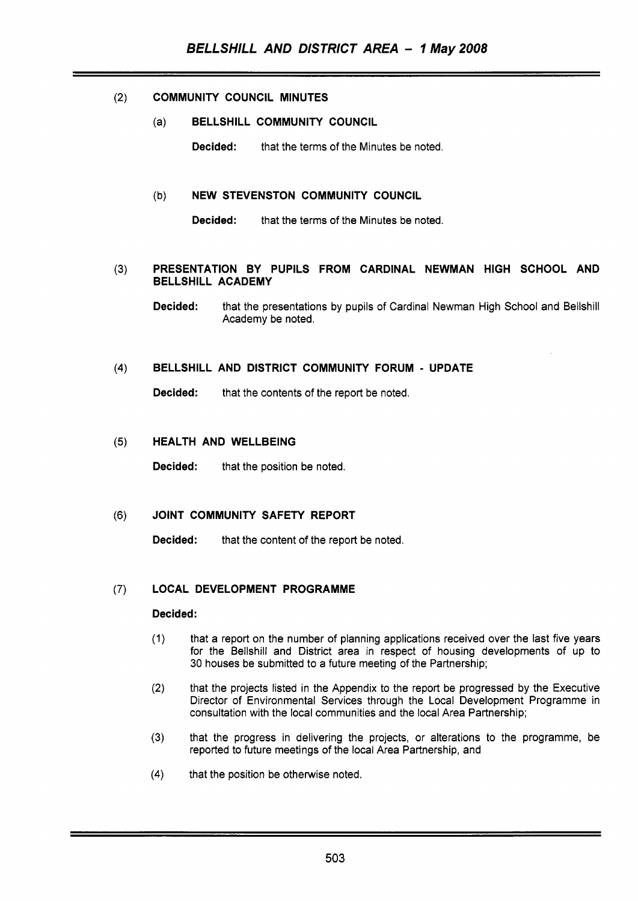# **(2) COMMUNITY COUNCIL MINUTES**

(a) **BELLSHILL COMMUNITY COUNCIL** 

**Decided:** that the terms of the Minutes be noted.

### (b) **NEW STEVENSTON COMMUNITY COUNCIL**

**Decided:** that the terms of the Minutes be noted.

### **(3) PRESENTATION BY PUPILS FROM CARDINAL NEWMAN HIGH SCHOOL AND BELLSHILL ACADEMY**

**Decided:** that the presentations by pupils of Cardinal Newman High School and Bellshill Academy be noted.

#### $(4)$ **BELLSHILL AND DISTRICT COMMUNITY FORUM** - **UPDATE**

**Decided:** that the contents of the report be noted.

#### **HEALTH AND WELLBEING**   $(5)$

**Decided:** that the position be noted.

#### $(6)$ **JOINT COMMUNITY SAFETY REPORT**

**Decided:** that the content of the report be noted.

#### **LOCAL DEVELOPMENT PROGRAMME**   $(7)$

### **Decided:**

- (1) that a report on the number of planning applications received over the last five years for the Bellshill and District area in respect of housing developments of up to 30 houses be submitted to a future meeting of the Partnership;
- **(2)** that the projects listed in the Appendix to the report be progressed by the Executive Director of Environmental Services through the Local Development Programme in consultation with the local communities and the local Area Partnership;
- **(3)** that the progress in delivering the projects, or alterations to the programme, be reported to future meetings of the local Area Partnership, and
- **(4)** that the position be otherwise noted.